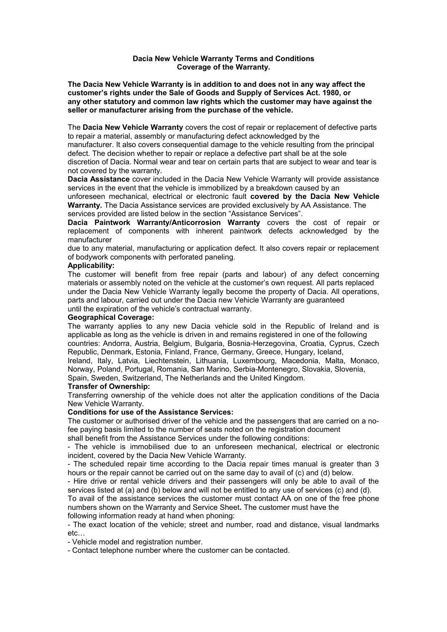#### **Dacia New Vehicle Warranty Terms and Conditions Coverage of the Warranty.**

**The Dacia New Vehicle Warranty is in addition to and does not in any way affect the customer's rights under the Sale of Goods and Supply of Services Act. 1980, or any other statutory and common law rights which the customer may have against the seller or manufacturer arising from the purchase of the vehicle.**

The **Dacia New Vehicle Warranty** covers the cost of repair or replacement of defective parts to repair a material, assembly or manufacturing defect acknowledged by the

manufacturer. It also covers consequential damage to the vehicle resulting from the principal defect. The decision whether to repair or replace a defective part shall be at the sole

discretion of Dacia. Normal wear and tear on certain parts that are subject to wear and tear is not covered by the warranty.

**Dacia Assistance** cover included in the Dacia New Vehicle Warranty will provide assistance services in the event that the vehicle is immobilized by a breakdown caused by an

unforeseen mechanical, electrical or electronic fault **covered by the Dacia New Vehicle Warranty.** The Dacia Assistance services are provided exclusively by AA Assistance. The services provided are listed below in the section "Assistance Services".

**Dacia Paintwork Warranty/Anticorrosion Warranty** covers the cost of repair or replacement of components with inherent paintwork defects acknowledged by the manufacturer

due to any material, manufacturing or application defect. It also covers repair or replacement of bodywork components with perforated paneling.

#### **Applicability:**

The customer will benefit from free repair (parts and labour) of any defect concerning materials or assembly noted on the vehicle at the customer's own request. All parts replaced under the Dacia New Vehicle Warranty legally become the property of Dacia. All operations, parts and labour, carried out under the Dacia new Vehicle Warranty are guaranteed until the expiration of the vehicle's contractual warranty.

#### **Geographical Coverage:**

The warranty applies to any new Dacia vehicle sold in the Republic of Ireland and is applicable as long as the vehicle is driven in and remains registered in one of the following countries: Andorra, Austria, Belgium, Bulgaria, Bosnia-Herzegovina, Croatia, Cyprus, Czech Republic, Denmark, Estonia, Finland, France, Germany, Greece, Hungary, Iceland,

Ireland, Italy, Latvia, Liechtenstein, Lithuania, Luxembourg, Macedonia, Malta, Monaco, Norway, Poland, Portugal, Romania, San Marino, Serbia-Montenegro, Slovakia, Slovenia, Spain, Sweden, Switzerland, The Netherlands and the United Kingdom.

## **Transfer of Ownership:**

Transferring ownership of the vehicle does not alter the application conditions of the Dacia New Vehicle Warranty.

## **Conditions for use of the Assistance Services:**

The customer or authorised driver of the vehicle and the passengers that are carried on a nofee paying basis limited to the number of seats noted on the registration document

shall benefit from the Assistance Services under the following conditions:

- The vehicle is immobilised due to an unforeseen mechanical, electrical or electronic incident, covered by the Dacia New Vehicle Warranty.

- The scheduled repair time according to the Dacia repair times manual is greater than 3 hours or the repair cannot be carried out on the same day to avail of (c) and (d) below.

- Hire drive or rental vehicle drivers and their passengers will only be able to avail of the services listed at (a) and (b) below and will not be entitled to any use of services (c) and (d).

To avail of the assistance services the customer must contact AA on one of the free phone numbers shown on the Warranty and Service Sheet**.** The customer must have the following information ready at hand when phoning:

- The exact location of the vehicle; street and number, road and distance, visual landmarks etc…

- Vehicle model and registration number.

- Contact telephone number where the customer can be contacted.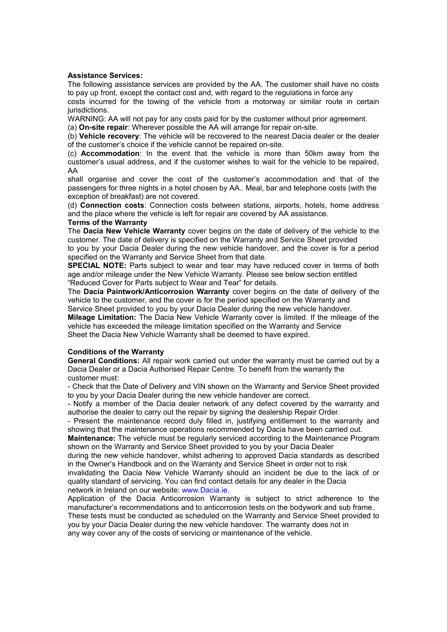## **Assistance Services:**

The following assistance services are provided by the AA. The customer shall have no costs to pay up front, except the contact cost and, with regard to the regulations in force any

costs incurred for the towing of the vehicle from a motorway or similar route in certain jurisdictions.

WARNING: AA will not pay for any costs paid for by the customer without prior agreement.

(a) **On-site repair**: Wherever possible the AA will arrange for repair on-site.

(b) **Vehicle recovery**: The vehicle will be recovered to the nearest Dacia dealer or the dealer of the customer's choice if the vehicle cannot be repaired on-site.

(c) **Accommodation**: In the event that the vehicle is more than 50km away from the customer's usual address, and if the customer wishes to wait for the vehicle to be repaired, AA

shall organise and cover the cost of the customer's accommodation and that of the passengers for three nights in a hotel chosen by AA.. Meal, bar and telephone costs (with the exception of breakfast) are not covered.

(d) **Connection costs**: Connection costs between stations, airports, hotels, home address and the place where the vehicle is left for repair are covered by AA assistance.

#### **Terms of the Warranty**

The **Dacia New Vehicle Warranty** cover begins on the date of delivery of the vehicle to the customer. The date of delivery is specified on the Warranty and Service Sheet provided

to you by your Dacia Dealer during the new vehicle handover, and the cover is for a period specified on the Warranty and Service Sheet from that date.

**SPECIAL NOTE:** Parts subject to wear and tear may have reduced cover in terms of both age and/or mileage under the New Vehicle Warranty. Please see below section entitled "Reduced Cover for Parts subject to Wear and Tear" for details.

The **Dacia Paintwork/Anticorrosion Warranty** cover begins on the date of delivery of the vehicle to the customer, and the cover is for the period specified on the Warranty and

Service Sheet provided to you by your Dacia Dealer during the new vehicle handover.

**Mileage Limitation:** The Dacia New Vehicle Warranty cover is limited. If the mileage of the vehicle has exceeded the mileage limitation specified on the Warranty and Service Sheet the Dacia New Vehicle Warranty shall be deemed to have expired.

## **Conditions of the Warranty**

**General Conditions:** All repair work carried out under the warranty must be carried out by a Dacia Dealer or a Dacia Authorised Repair Centre. To benefit from the warranty the customer must:

- Check that the Date of Delivery and VIN shown on the Warranty and Service Sheet provided to you by your Dacia Dealer during the new vehicle handover are correct.

- Notify a member of the Dacia dealer network of any defect covered by the warranty and authorise the dealer to carry out the repair by signing the dealership Repair Order.

- Present the maintenance record duly filled in, justifying entitlement to the warranty and showing that the maintenance operations recommended by Dacia have been carried out.

**Maintenance:** The vehicle must be regularly serviced according to the Maintenance Program shown on the Warranty and Service Sheet provided to you by your Dacia Dealer

during the new vehicle handover, whilst adhering to approved Dacia standards as described in the Owner's Handbook and on the Warranty and Service Sheet in order not to risk

invalidating the Dacia New Vehicle Warranty should an incident be due to the lack of or quality standard of servicing. You can find contact details for any dealer in the Dacia network in Ireland on our website: www.Dacia.ie.

Application of the Dacia Anticorrosion Warranty is subject to strict adherence to the manufacturer's recommendations and to anticorrosion tests on the bodywork and sub frame. These tests must be conducted as scheduled on the Warranty and Service Sheet provided to you by your Dacia Dealer during the new vehicle handover. The warranty does not in any way cover any of the costs of servicing or maintenance of the vehicle.